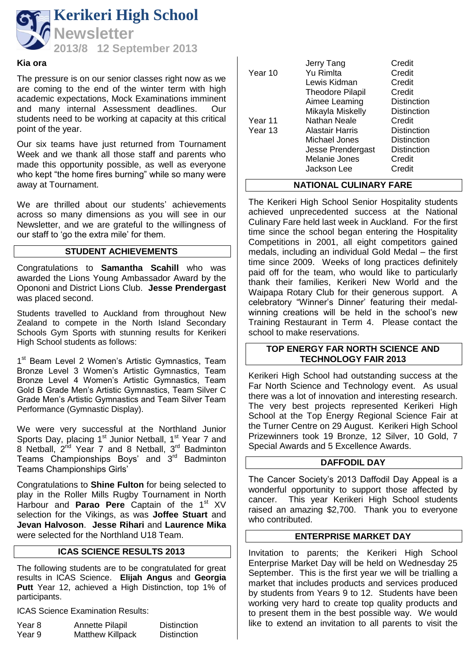

#### **Kia ora**

The pressure is on our senior classes right now as we are coming to the end of the winter term with high academic expectations, Mock Examinations imminent and many internal Assessment deadlines. Our students need to be working at capacity at this critical point of the year.

Our six teams have just returned from Tournament Week and we thank all those staff and parents who made this opportunity possible, as well as everyone who kept "the home fires burning" while so many were away at Tournament.

We are thrilled about our students' achievements across so many dimensions as you will see in our Newsletter, and we are grateful to the willingness of our staff to 'go the extra mile' for them.

# **STUDENT ACHIEVEMENTS**

Congratulations to **Samantha Scahill** who was awarded the Lions Young Ambassador Award by the Opononi and District Lions Club. **Jesse Prendergast** was placed second.

Students travelled to Auckland from throughout New Zealand to compete in the North Island Secondary Schools Gym Sports with stunning results for Kerikeri High School students as follows:

1<sup>st</sup> Beam Level 2 Women's Artistic Gymnastics, Team Bronze Level 3 Women's Artistic Gymnastics, Team Bronze Level 4 Women's Artistic Gymnastics, Team Gold B Grade Men's Artistic Gymnastics, Team Silver C Grade Men's Artistic Gymnastics and Team Silver Team Performance (Gymnastic Display).

We were very successful at the Northland Junior Sports Day, placing 1<sup>st</sup> Junior Netball, 1<sup>st</sup> Year 7 and 8 Netball, 2<sup>nd</sup> Year 7 and 8 Netball, 3<sup>rd</sup> Badminton Teams Championships Boys' and 3<sup>rd</sup> Badminton Teams Championships Girls'

Congratulations to **Shine Fulton** for being selected to play in the Roller Mills Rugby Tournament in North Harbour and **Parao Pere** Captain of the 1<sup>st</sup> XV selection for the Vikings, as was **Joffee Stuart** and **Jevan Halvoson**. **Jesse Rihari** and **Laurence Mika** were selected for the Northland U18 Team.

# **ICAS SCIENCE RESULTS 2013**

The following students are to be congratulated for great results in ICAS Science. **Elijah Angus** and **Georgia Putt** Year 12, achieved a High Distinction, top 1% of participants.

ICAS Science Examination Results:

| Year 8 | Annette Pilapil         | <b>Distinction</b> |
|--------|-------------------------|--------------------|
| Year 9 | <b>Matthew Killpack</b> | <b>Distinction</b> |

| Jerry Tang              | Credit             |
|-------------------------|--------------------|
| Yu Rimlta               | Credit             |
| Lewis Kidman            | Credit             |
| <b>Theodore Pilapil</b> | Credit             |
| Aimee Leaming           | <b>Distinction</b> |
| Mikayla Miskelly        | <b>Distinction</b> |
| Nathan Neale            | Credit             |
| Alastair Harris         | Distinction        |
| Michael Jones           | Distinction        |
| Jesse Prendergast       | <b>Distinction</b> |
| Melanie Jones           | Credit             |
| Jackson Lee             | Credit             |
|                         |                    |

# **NATIONAL CULINARY FARE**

The Kerikeri High School Senior Hospitality students achieved unprecedented success at the National Culinary Fare held last week in Auckland. For the first time since the school began entering the Hospitality Competitions in 2001, all eight competitors gained medals, including an individual Gold Medal – the first time since 2009. Weeks of long practices definitely paid off for the team, who would like to particularly thank their families, Kerikeri New World and the Waipapa Rotary Club for their generous support. A celebratory "Winner's Dinner' featuring their medalwinning creations will be held in the school's new Training Restaurant in Term 4. Please contact the school to make reservations.

## **TOP ENERGY FAR NORTH SCIENCE AND TECHNOLOGY FAIR 2013**

Kerikeri High School had outstanding success at the Far North Science and Technology event. As usual there was a lot of innovation and interesting research. The very best projects represented Kerikeri High School at the Top Energy Regional Science Fair at the Turner Centre on 29 August. Kerikeri High School Prizewinners took 19 Bronze, 12 Silver, 10 Gold, 7 Special Awards and 5 Excellence Awards.

#### **DAFFODIL DAY**

The Cancer Society's 2013 Daffodil Day Appeal is a wonderful opportunity to support those affected by cancer. This year Kerikeri High School students raised an amazing \$2,700. Thank you to everyone who contributed.

# **ENTERPRISE MARKET DAY**

Invitation to parents; the Kerikeri High School Enterprise Market Day will be held on Wednesday 25 September. This is the first year we will be trialling a market that includes products and services produced by students from Years 9 to 12. Students have been working very hard to create top quality products and to present them in the best possible way. We would like to extend an invitation to all parents to visit the